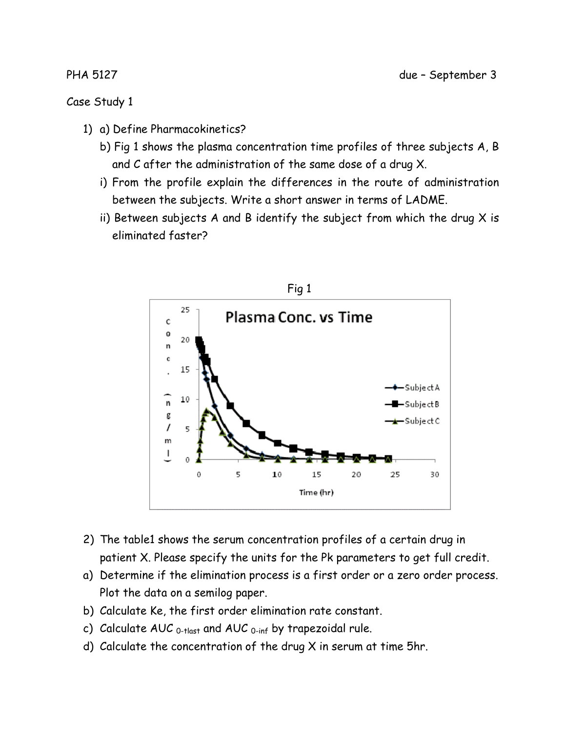- 1) a) Define Pharmacokinetics?
	- b) Fig 1 shows the plasma concentration time profiles of three subjects A, B and C after the administration of the same dose of a drug X.
	- i) From the profile explain the differences in the route of administration between the subjects. Write a short answer in terms of LADME.
	- ii) Between subjects A and B identify the subject from which the drug  $X$  is eliminated faster?



- 2) The table1 shows the serum concentration profiles of a certain drug in patient X. Please specify the units for the Pk parameters to get full credit.
- a) Determine if the elimination process is a first order or a zero order process. Plot the data on a semilog paper.
- b) Calculate Ke, the first order elimination rate constant.
- c) Calculate AUC  $_{0$ -tlast and AUC  $_{0$ -inf by trapezoidal rule.
- d) Calculate the concentration of the drug X in serum at time 5hr.